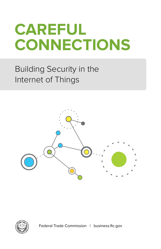# **Careful connections**

## Building Security in the Internet of Things





Federal Trade Commission | business.[ftc.gov](http://www.ftc.gov)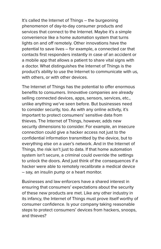It's called the Internet of Things – the burgeoning phenomenon of day-to-day consumer products and services that connect to the Internet. Maybe it's a simple convenience like a home automation system that turns lights on and off remotely. Other innovations have the potential to save lives – for example, a connected car that contacts first responders instantly in case of an accident or a mobile app that allows a patient to share vital signs with a doctor. What distinguishes the Internet of Things is the product's ability to use the Internet to communicate with us, with others, or with other devices.

The Internet of Things has the potential to offer enormous benefits to consumers. Innovative companies are already selling connected devices, apps, sensors, services, etc., unlike anything we've seen before. But businesses need to consider security, too. As with any online activity, it's important to protect consumers' sensitive data from thieves. The Internet of Things, however, adds new security dimensions to consider. For example, an insecure connection could give a hacker access not just to the confidential information transmitted by the device, but to everything else on a user's network. And in the Internet of Things, the risk isn't just to data. If that home automation system isn't secure, a criminal could override the settings to unlock the doors. And just think of the consequences if a hacker were able to remotely recalibrate a medical device – say, an insulin pump or a heart monitor.

Businesses and law enforcers have a shared interest in ensuring that consumers' expectations about the security of these new products are met. Like any other industry in its infancy, the Internet of Things must prove itself worthy of consumer confidence. Is your company taking reasonable steps to protect consumers' devices from hackers, snoops, and thieves?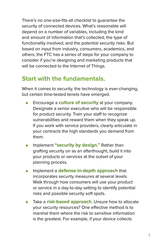There's no one-size-fits-all checklist to guarantee the security of connected devices. What's reasonable will depend on a number of variables, including the kind and amount of information that's collected, the type of functionality involved, and the potential security risks. But based on input from industry, consumers, academics, and others, the FTC has a series of steps for your company to consider if you're designing and marketing products that will be connected to the Internet of Things.

### **Start with the fundamentals.**

When it comes to security, the technology is ever-changing, but certain time-tested tenets have emerged.

- Encourage a **culture of security** at your company. Designate a senior executive who will be responsible for product security. Train your staff to recognize vulnerabilities and reward them when they speak up. If you work with service providers, clearly articulate in your contracts the high standards you demand from them.
- Implement **"security by design."** Rather than grafting security on as an afterthought, build it into your products or services at the outset of your planning process.
- Implement a **defense-in-depth approach** that incorporates security measures at several levels. Walk through how consumers will use your product or service in a day-to-day setting to identify potential risks and possible security soft spots.
- Take a **risk-based approach**. Unsure how to allocate your security resources? One effective method is to marshal them where the risk to sensitive information is the greatest. For example, if your device collects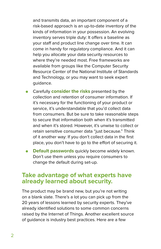and transmits data, an important component of a risk-based approach is an up-to-date inventory of the kinds of information in your possession. An evolving inventory serves triple duty: It offers a baseline as your staff and product line change over time. It can come in handy for regulatory compliance. And it can help you allocate your data security resources to where they're needed most. Free frameworks are available from groups like the [Computer Security](http://csrc.nist.gov/groups/SMA/fisma/framework.html)  [Resource Center of the National Institute of Standards](http://csrc.nist.gov/groups/SMA/fisma/framework.html)  [and Technology,](http://csrc.nist.gov/groups/SMA/fisma/framework.html) or you may want to seek expert guidance.

- Carefully **consider the risks** presented by the collection and retention of consumer information. If it's necessary for the functioning of your product or service, it's understandable that you'd collect data from consumers. But be sure to take reasonable steps to secure that information both when it's transmitted and when it's stored. However, it's unwise to collect or retain sensitive consumer data "just because." Think of it another way: If you don't collect data in the first place, you don't have to go to the effort of securing it.
- **Default passwords** quickly become widely known. Don't use them unless you require consumers to change the default during set-up.

#### **Take advantage of what experts have already learned about security.**

The product may be brand new, but you're not writing on a blank slate. There's a lot you can pick up from the 20 years of lessons learned by security experts. They've already identified solutions to some common concerns raised by the Internet of Things. Another excellent source of guidance is industry best practices. Here are a few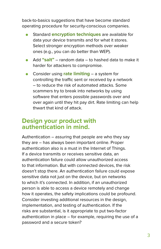back-to-basics suggestions that have become standard operating procedure for security-conscious companies.

- Standard **encryption techniques** are available for data your device transmits and for what it stores. Select stronger encryption methods over weaker ones (e.g., you can do better than WEP).
- Add **"salt"** random data to hashed data to make it harder for attackers to compromise.
- Consider using **rate limiting** a system for controlling the traffic sent or received by a network – to reduce the risk of automated attacks. Some scammers try to break into networks by using software that enters possible passwords over and over again until they hit pay dirt. Rate limiting can help thwart that kind of attack.

#### **Design your product with authentication in mind.**

Authentication – assuring that people are who they say they are – has always been important online. Proper authentication also is a must in the Internet of Things. If a device transmits or receives sensitive data, an authentication failure could allow unauthorized access to that information. But with connected devices, the risk doesn't stop there. An authentication failure could expose sensitive data not just on the device, but on networks to which it's connected. In addition, if an unauthorized person is able to access a device remotely and change how it operates, the safety implications could be profound. Consider investing additional resources in the design, implementation, and testing of authentication. If the risks are substantial, is it appropriate to put two-factor authentication in place – for example, requiring the use of a password and a secure token?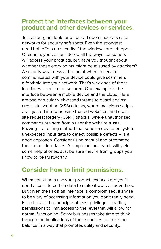#### **Protect the interfaces between your product and other devices or services.**

Just as burglars look for unlocked doors, hackers case networks for security soft spots. Even the strongest dead bolt offers no security if the windows are left open. Of course, you've considered all the ways consumers will access your products, but have you thought about whether those entry points might be misused by attackers? A security weakness at the point where a service communicates with your device could give scammers a foothold into your network. That's why each of those interfaces needs to be secured. One example is the interface between a mobile device and the cloud. Here are two particular web-based threats to guard against: cross-site scripting (XSS) attacks, where malicious scripts are injected into otherwise trusted websites, and crosssite request forgery (CSRF) attacks, where unauthorized commands are sent from a user the website trusts. Fuzzing – a testing method that sends a device or system unexpected input data to detect possible defects – is a good approach. Consider using manual and automated tools to test interfaces. A simple online search will yield some helpful ones. Just be sure they're from groups you know to be trustworthy.

#### **Consider how to limit permissions.**

When consumers use your product, chances are you'll need access to certain data to make it work as advertised. But given the risk if an interface is compromised, it's wise to be wary of accessing information you don't really need. Experts call it the principle of least privilege – crafting permissions to limit access to the level that will allow for normal functioning. Savvy businesses take time to think through the implications of those choices to strike the balance in a way that promotes utility and security.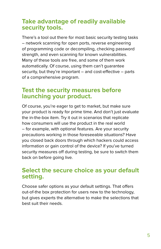#### **Take advantage of readily available security tools.**

There's a tool out there for most basic security testing tasks – network scanning for open ports, reverse engineering of programming code or decompiling, checking password strength, and even scanning for known vulnerabilities. Many of these tools are free, and some of them work automatically. Of course, using them can't guarantee security, but they're important – and cost-effective – parts of a comprehensive program.

#### **Test the security measures before launching your product.**

Of course, you're eager to get to market, but make sure your product is ready for prime time. And don't just evaluate the in-the-box item. Try it out in scenarios that replicate how consumers will use the product in the real world – for example, with optional features. Are your security precautions working in those foreseeable situations? Have you closed back doors through which hackers could access information or gain control of the device? If you've turned security measures off during testing, be sure to switch them back on before going live.

#### **Select the secure choice as your default setting.**

Choose safer options as your default settings. That offers out-of-the box protection for users new to the technology, but gives experts the alternative to make the selections that best suit their needs.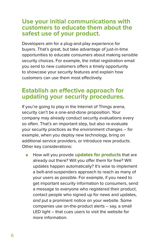#### **Use your initial communications with customers to educate them about the safest use of your product.**

Developers aim for a plug-and-play experience for buyers. That's great, but take advantage of just-in-time opportunities to educate consumers about making sensible security choices. For example, the initial registration email you send to new customers offers a timely opportunity to showcase your security features and explain how customers can use them most effectively.

#### **Establish an effective approach for updating your security procedures.**

If you're going to play in the Internet of Things arena, security can't be a one-and-done proposition. Your company may already conduct security evaluations every so often. That's an important step, but also re-evaluate your security practices as the environment changes – for example, when you deploy new technology, bring on additional service providers, or introduce new products. Other key considerations:

● How will you provide **updates for products** that are already out there? Will you offer them for free? Will updates happen automatically? It's wise to implement a belt-and-suspenders approach to reach as many of your users as possible. For example, if you need to get important security information to consumers, send a message to everyone who registered their product, contact people who signed up for news and updates, and put a prominent notice on your website. Some companies use on-the-product alerts – say, a small LED light – that cues users to visit the website for more information.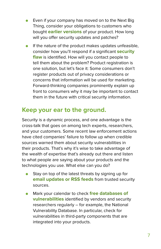- Even if your company has moved on to the Next Big Thing, consider your obligations to customers who bought **earlier versions** of your product. How long will you offer security updates and patches?
- If the nature of the product makes updates unfeasible, consider how you'll respond if a significant **security flaw** is identified. How will you contact people to tell them about the problem? Product registration is one solution, but let's face it: Some consumers don't register products out of privacy considerations or concerns that information will be used for marketing. Forward-thinking companies prominently explain up front to consumers why it may be important to contact them in the future with critical security information.

#### **Keep your ear to the ground.**

Security is a dynamic process, and one advantage is the cross-talk that goes on among tech experts, researchers, and your customers. Some recent law enforcement actions have cited companies' failure to follow up when credible sources warned them about security vulnerabilities in their products. That's why it's wise to take advantage of the wealth of expertise that's already out there and listen to what people are saying about your products and the technologies you use. What else can you do?

- Stay on top of the latest threats by signing up for **email updates or RSS feeds** from trusted security sources.
- Mark your calendar to check **free databases of vulnerabilities** identified by vendors and security researchers regularly – for example, the [National](http://nvd.nist.gov/)  [Vulnerability Database](http://nvd.nist.gov/). In particular, check for vulnerabilities in third-party components that are integrated into your products.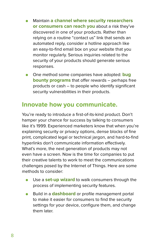- **Maintain a channel where security researchers or consumers can reach you** about a risk they've discovered in one of your products. Rather than relying on a routine "contact us" link that sends an automated reply, consider a hotline approach like an easy-to-find email box on your website that you monitor regularly. Serious inquiries related to the security of your products should generate serious responses.
- One method some companies have adopted: **bug bounty programs** that offer rewards – perhaps free products or cash – to people who identify significant security vulnerabilities in their products.

#### **Innovate how you communicate.**

You're ready to introduce a first-of-its-kind product. Don't hamper your chance for success by talking to consumers like it's 1999. Experienced marketers know that when you're explaining security or privacy options, dense blocks of fine print, complicated legal or technical jargon, and hard-to-find hyperlinks don't communicate information effectively. What's more, the next generation of products may not even have a screen. Now is the time for companies to put their creative talents to work to meet the communications challenges posed by the Internet of Things. Here are some methods to consider:

- Use a **set-up wizard** to walk consumers through the process of implementing security features.
- Build in a **dashboard** or profile management portal to make it easier for consumers to find the security settings for your device, configure them, and change them later.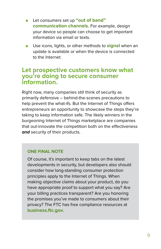- Let consumers set up "out of band" **communication channels.** For example, design your device so people can choose to get important information via email or texts.
- Use icons, lights, or other methods to **signal** when an update is available or when the device is connected to the Internet.

#### **Let prospective customers know what you're doing to secure consumer information.**

Right now, many companies still think of security as primarily defensive – behind-the-scenes precautions to help prevent the what-ifs. But the Internet of Things offers entrepreneurs an opportunity to showcase the steps they're taking to keep information safe. The likely winners in the burgeoning Internet of Things marketplace are companies that out-innovate the competition both on the effectiveness **and** security of their products.

#### **One final note**

Of course, it's important to keep tabs on the latest developments in security, but developers also should consider how long-standing consumer protection principles apply to the Internet of Things. When making objective claims about your product, do you have appropriate proof to support what you say? Are your billing practices transparent? Are you honoring the promises you've made to consumers about their privacy? The FTC has free compliance resources at **business.ftc.gov**.